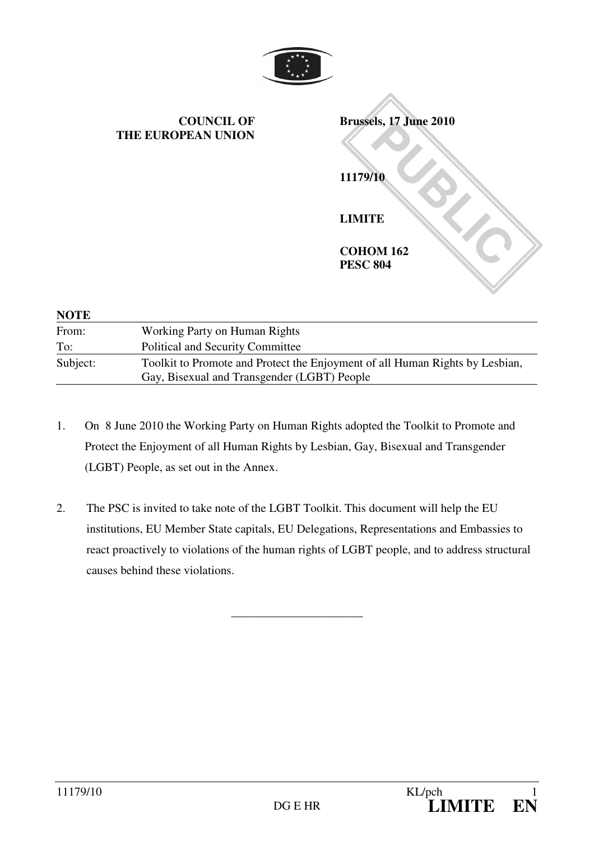

|             | <b>COUNCIL OF</b><br>THE EUROPEAN UNION | Brussels, 17 June 2010<br>11179/10<br><b>LIMITE</b><br><b>COHOM 162</b><br><b>PESC 804</b> |
|-------------|-----------------------------------------|--------------------------------------------------------------------------------------------|
| <b>NOTE</b> |                                         |                                                                                            |
| From:       | Working Party on Human Rights           |                                                                                            |

A

To: Political and Security Committee Subject: Toolkit to Promote and Protect the Enjoyment of all Human Rights by Lesbian, Gay, Bisexual and Transgender (LGBT) People

- 1. On 8 June 2010 the Working Party on Human Rights adopted the Toolkit to Promote and Protect the Enjoyment of all Human Rights by Lesbian, Gay, Bisexual and Transgender (LGBT) People, as set out in the Annex.
- 2. The PSC is invited to take note of the LGBT Toolkit. This document will help the EU institutions, EU Member State capitals, EU Delegations, Representations and Embassies to react proactively to violations of the human rights of LGBT people, and to address structural causes behind these violations.

\_\_\_\_\_\_\_\_\_\_\_\_\_\_\_\_\_\_\_\_\_\_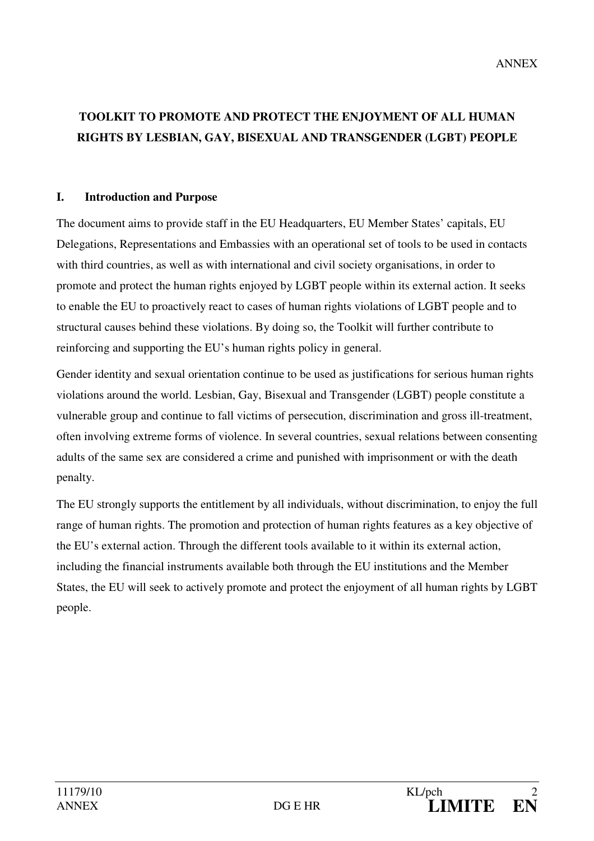# **TOOLKIT TO PROMOTE AND PROTECT THE ENJOYMENT OF ALL HUMAN RIGHTS BY LESBIAN, GAY, BISEXUAL AND TRANSGENDER (LGBT) PEOPLE**

#### **I. Introduction and Purpose**

The document aims to provide staff in the EU Headquarters, EU Member States' capitals, EU Delegations, Representations and Embassies with an operational set of tools to be used in contacts with third countries, as well as with international and civil society organisations, in order to promote and protect the human rights enjoyed by LGBT people within its external action. It seeks to enable the EU to proactively react to cases of human rights violations of LGBT people and to structural causes behind these violations. By doing so, the Toolkit will further contribute to reinforcing and supporting the EU's human rights policy in general.

Gender identity and sexual orientation continue to be used as justifications for serious human rights violations around the world. Lesbian, Gay, Bisexual and Transgender (LGBT) people constitute a vulnerable group and continue to fall victims of persecution, discrimination and gross ill-treatment, often involving extreme forms of violence. In several countries, sexual relations between consenting adults of the same sex are considered a crime and punished with imprisonment or with the death penalty.

The EU strongly supports the entitlement by all individuals, without discrimination, to enjoy the full range of human rights. The promotion and protection of human rights features as a key objective of the EU's external action. Through the different tools available to it within its external action, including the financial instruments available both through the EU institutions and the Member States, the EU will seek to actively promote and protect the enjoyment of all human rights by LGBT people.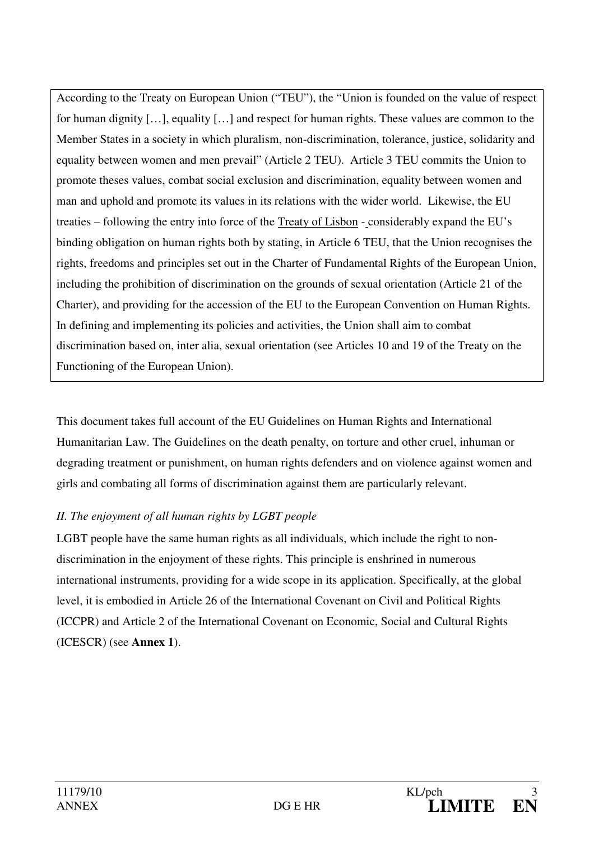According to the Treaty on European Union ("TEU"), the "Union is founded on the value of respect for human dignity […], equality […] and respect for human rights. These values are common to the Member States in a society in which pluralism, non-discrimination, tolerance, justice, solidarity and equality between women and men prevail" (Article 2 TEU). Article 3 TEU commits the Union to promote theses values, combat social exclusion and discrimination, equality between women and man and uphold and promote its values in its relations with the wider world. Likewise, the EU treaties – following the entry into force of the Treaty of Lisbon - considerably expand the EU's binding obligation on human rights both by stating, in Article 6 TEU, that the Union recognises the rights, freedoms and principles set out in the Charter of Fundamental Rights of the European Union, including the prohibition of discrimination on the grounds of sexual orientation (Article 21 of the Charter), and providing for the accession of the EU to the European Convention on Human Rights. In defining and implementing its policies and activities, the Union shall aim to combat discrimination based on, inter alia, sexual orientation (see Articles 10 and 19 of the Treaty on the Functioning of the European Union).

This document takes full account of the EU Guidelines on Human Rights and International Humanitarian Law. The Guidelines on the death penalty, on torture and other cruel, inhuman or degrading treatment or punishment, on human rights defenders and on violence against women and girls and combating all forms of discrimination against them are particularly relevant.

# *II. The enjoyment of all human rights by LGBT people*

LGBT people have the same human rights as all individuals, which include the right to nondiscrimination in the enjoyment of these rights. This principle is enshrined in numerous international instruments, providing for a wide scope in its application. Specifically, at the global level, it is embodied in Article 26 of the International Covenant on Civil and Political Rights (ICCPR) and Article 2 of the International Covenant on Economic, Social and Cultural Rights (ICESCR) (see **Annex 1**).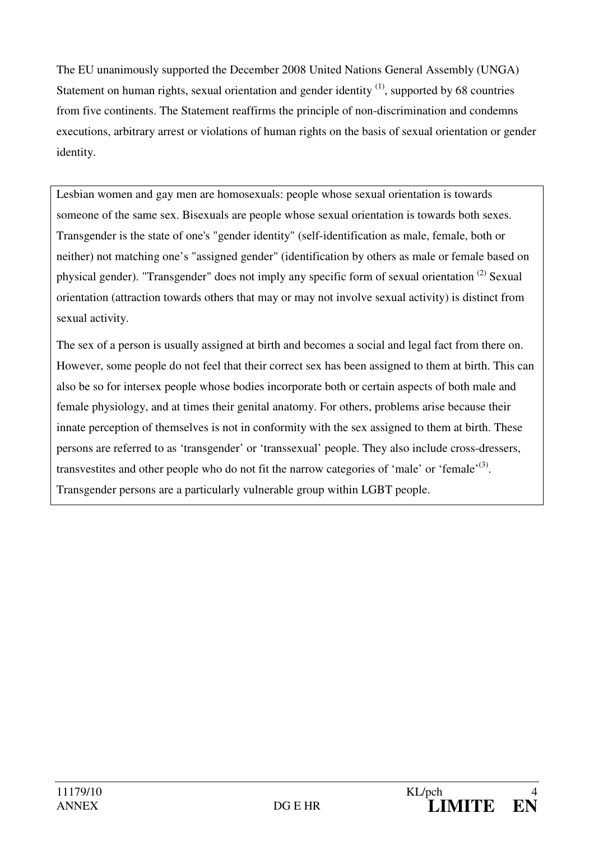The EU unanimously supported the December 2008 United Nations General Assembly (UNGA) Statement on human rights, sexual orientation and gender identity  $(1)$ , supported by 68 countries from five continents. The Statement reaffirms the principle of non-discrimination and condemns executions, arbitrary arrest or violations of human rights on the basis of sexual orientation or gender identity.

Lesbian women and gay men are homosexuals: people whose sexual orientation is towards someone of the same sex. Bisexuals are people whose sexual orientation is towards both sexes. Transgender is the state of one's "gender identity" (self-identification as male, female, both or neither) not matching one's "assigned gender" (identification by others as male or female based on physical gender). "Transgender" does not imply any specific form of sexual orientation (2) Sexual orientation (attraction towards others that may or may not involve sexual activity) is distinct from sexual activity.

The sex of a person is usually assigned at birth and becomes a social and legal fact from there on. However, some people do not feel that their correct sex has been assigned to them at birth. This can also be so for intersex people whose bodies incorporate both or certain aspects of both male and female physiology, and at times their genital anatomy. For others, problems arise because their innate perception of themselves is not in conformity with the sex assigned to them at birth. These persons are referred to as 'transgender' or 'transsexual' people. They also include cross-dressers, transvestites and other people who do not fit the narrow categories of 'male' or 'female'<sup>(3)</sup>. Transgender persons are a particularly vulnerable group within LGBT people.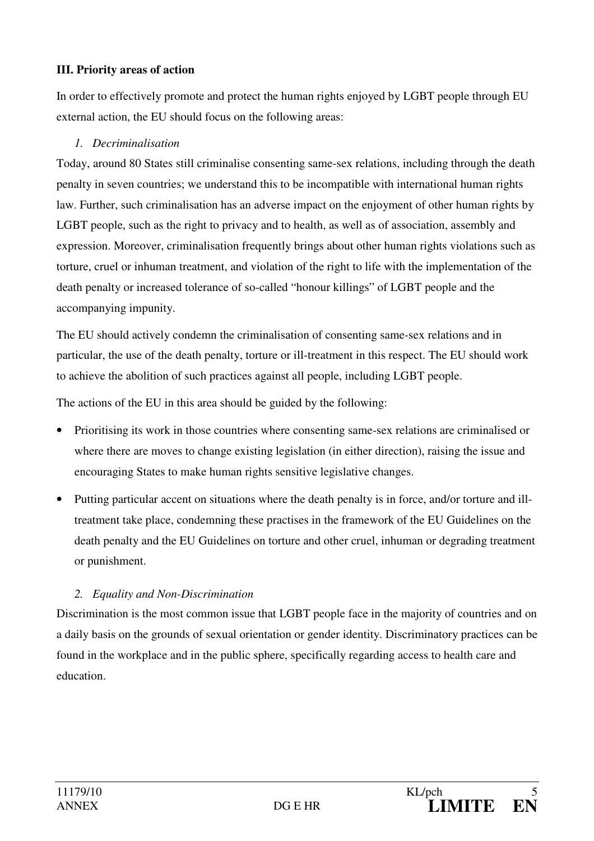#### **III. Priority areas of action**

In order to effectively promote and protect the human rights enjoyed by LGBT people through EU external action, the EU should focus on the following areas:

### *1. Decriminalisation*

Today, around 80 States still criminalise consenting same-sex relations, including through the death penalty in seven countries; we understand this to be incompatible with international human rights law. Further, such criminalisation has an adverse impact on the enjoyment of other human rights by LGBT people, such as the right to privacy and to health, as well as of association, assembly and expression. Moreover, criminalisation frequently brings about other human rights violations such as torture, cruel or inhuman treatment, and violation of the right to life with the implementation of the death penalty or increased tolerance of so-called "honour killings" of LGBT people and the accompanying impunity.

The EU should actively condemn the criminalisation of consenting same-sex relations and in particular, the use of the death penalty, torture or ill-treatment in this respect. The EU should work to achieve the abolition of such practices against all people, including LGBT people.

The actions of the EU in this area should be guided by the following:

- Prioritising its work in those countries where consenting same-sex relations are criminalised or where there are moves to change existing legislation (in either direction), raising the issue and encouraging States to make human rights sensitive legislative changes.
- Putting particular accent on situations where the death penalty is in force, and/or torture and illtreatment take place, condemning these practises in the framework of the EU Guidelines on the death penalty and the EU Guidelines on torture and other cruel, inhuman or degrading treatment or punishment.

# *2. Equality and Non-Discrimination*

Discrimination is the most common issue that LGBT people face in the majority of countries and on a daily basis on the grounds of sexual orientation or gender identity. Discriminatory practices can be found in the workplace and in the public sphere, specifically regarding access to health care and education.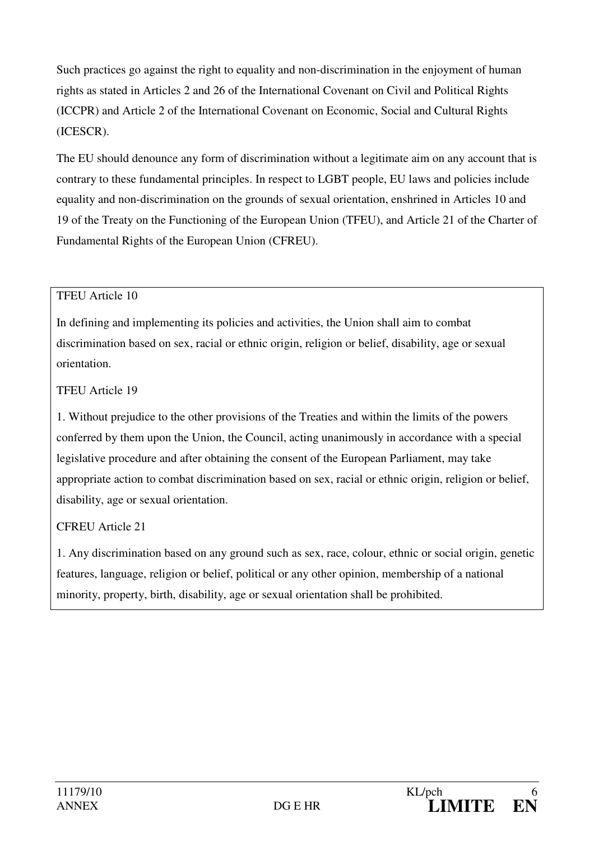Such practices go against the right to equality and non-discrimination in the enjoyment of human rights as stated in Articles 2 and 26 of the International Covenant on Civil and Political Rights (ICCPR) and Article 2 of the International Covenant on Economic, Social and Cultural Rights (ICESCR).

The EU should denounce any form of discrimination without a legitimate aim on any account that is contrary to these fundamental principles. In respect to LGBT people, EU laws and policies include equality and non-discrimination on the grounds of sexual orientation, enshrined in Articles 10 and 19 of the Treaty on the Functioning of the European Union (TFEU), and Article 21 of the Charter of Fundamental Rights of the European Union (CFREU).

TFEU Article 10

In defining and implementing its policies and activities, the Union shall aim to combat discrimination based on sex, racial or ethnic origin, religion or belief, disability, age or sexual orientation.

TFEU Article 19

1. Without prejudice to the other provisions of the Treaties and within the limits of the powers conferred by them upon the Union, the Council, acting unanimously in accordance with a special legislative procedure and after obtaining the consent of the European Parliament, may take appropriate action to combat discrimination based on sex, racial or ethnic origin, religion or belief, disability, age or sexual orientation.

CFREU Article 21

1. Any discrimination based on any ground such as sex, race, colour, ethnic or social origin, genetic features, language, religion or belief, political or any other opinion, membership of a national minority, property, birth, disability, age or sexual orientation shall be prohibited.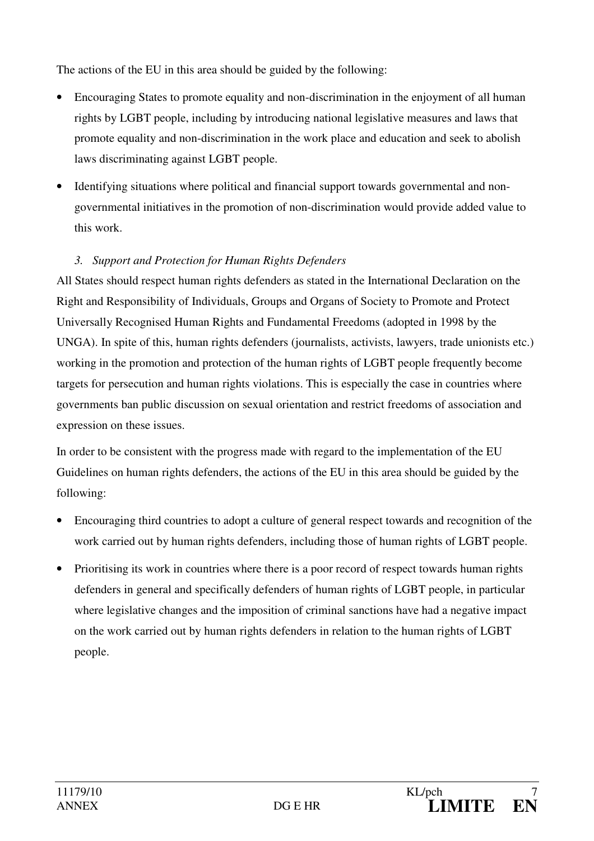The actions of the EU in this area should be guided by the following:

- Encouraging States to promote equality and non-discrimination in the enjoyment of all human rights by LGBT people, including by introducing national legislative measures and laws that promote equality and non-discrimination in the work place and education and seek to abolish laws discriminating against LGBT people.
- Identifying situations where political and financial support towards governmental and nongovernmental initiatives in the promotion of non-discrimination would provide added value to this work.

# *3. Support and Protection for Human Rights Defenders*

All States should respect human rights defenders as stated in the International Declaration on the Right and Responsibility of Individuals, Groups and Organs of Society to Promote and Protect Universally Recognised Human Rights and Fundamental Freedoms (adopted in 1998 by the UNGA). In spite of this, human rights defenders (journalists, activists, lawyers, trade unionists etc.) working in the promotion and protection of the human rights of LGBT people frequently become targets for persecution and human rights violations. This is especially the case in countries where governments ban public discussion on sexual orientation and restrict freedoms of association and expression on these issues.

In order to be consistent with the progress made with regard to the implementation of the EU Guidelines on human rights defenders, the actions of the EU in this area should be guided by the following:

- Encouraging third countries to adopt a culture of general respect towards and recognition of the work carried out by human rights defenders, including those of human rights of LGBT people.
- Prioritising its work in countries where there is a poor record of respect towards human rights defenders in general and specifically defenders of human rights of LGBT people, in particular where legislative changes and the imposition of criminal sanctions have had a negative impact on the work carried out by human rights defenders in relation to the human rights of LGBT people.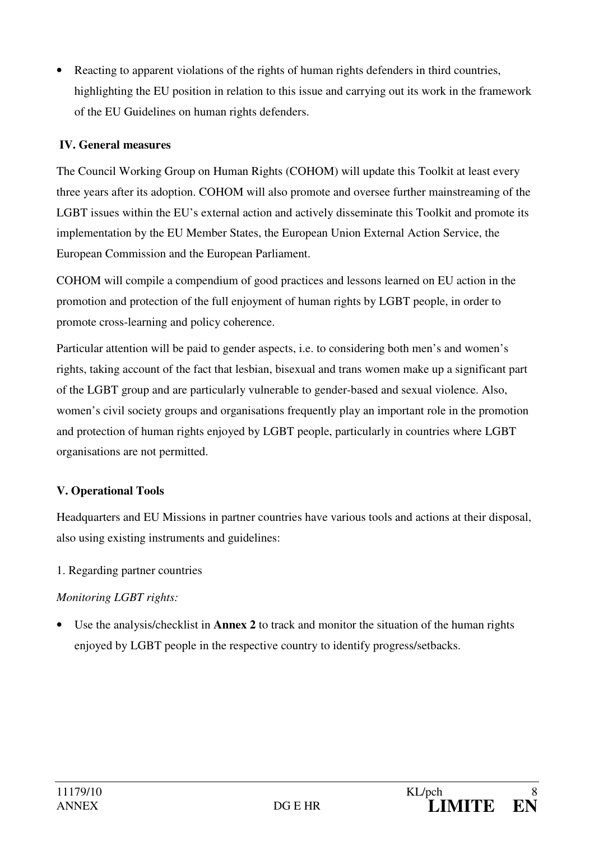• Reacting to apparent violations of the rights of human rights defenders in third countries, highlighting the EU position in relation to this issue and carrying out its work in the framework of the EU Guidelines on human rights defenders.

### **IV. General measures**

The Council Working Group on Human Rights (COHOM) will update this Toolkit at least every three years after its adoption. COHOM will also promote and oversee further mainstreaming of the LGBT issues within the EU's external action and actively disseminate this Toolkit and promote its implementation by the EU Member States, the European Union External Action Service, the European Commission and the European Parliament.

COHOM will compile a compendium of good practices and lessons learned on EU action in the promotion and protection of the full enjoyment of human rights by LGBT people, in order to promote cross-learning and policy coherence.

Particular attention will be paid to gender aspects, i.e. to considering both men's and women's rights, taking account of the fact that lesbian, bisexual and trans women make up a significant part of the LGBT group and are particularly vulnerable to gender-based and sexual violence. Also, women's civil society groups and organisations frequently play an important role in the promotion and protection of human rights enjoyed by LGBT people, particularly in countries where LGBT organisations are not permitted.

# **V. Operational Tools**

Headquarters and EU Missions in partner countries have various tools and actions at their disposal, also using existing instruments and guidelines:

# 1. Regarding partner countries

# *Monitoring LGBT rights:*

• Use the analysis/checklist in **Annex 2** to track and monitor the situation of the human rights enjoyed by LGBT people in the respective country to identify progress/setbacks.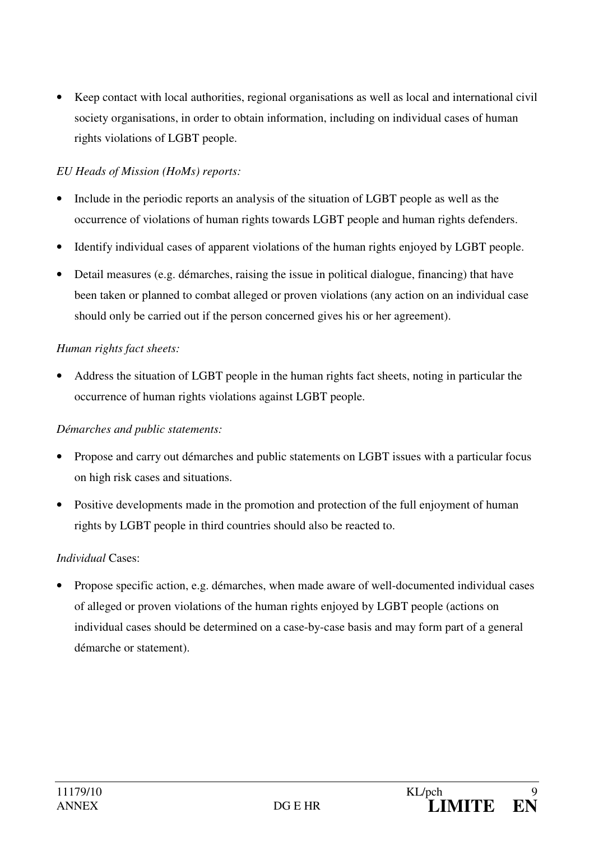• Keep contact with local authorities, regional organisations as well as local and international civil society organisations, in order to obtain information, including on individual cases of human rights violations of LGBT people.

### *EU Heads of Mission (HoMs) reports:*

- Include in the periodic reports an analysis of the situation of LGBT people as well as the occurrence of violations of human rights towards LGBT people and human rights defenders.
- Identify individual cases of apparent violations of the human rights enjoyed by LGBT people.
- Detail measures (e.g. démarches, raising the issue in political dialogue, financing) that have been taken or planned to combat alleged or proven violations (any action on an individual case should only be carried out if the person concerned gives his or her agreement).

### *Human rights fact sheets:*

• Address the situation of LGBT people in the human rights fact sheets, noting in particular the occurrence of human rights violations against LGBT people.

#### *Démarches and public statements:*

- Propose and carry out démarches and public statements on LGBT issues with a particular focus on high risk cases and situations.
- Positive developments made in the promotion and protection of the full enjoyment of human rights by LGBT people in third countries should also be reacted to.

# *Individual* Cases:

• Propose specific action, e.g. démarches, when made aware of well-documented individual cases of alleged or proven violations of the human rights enjoyed by LGBT people (actions on individual cases should be determined on a case-by-case basis and may form part of a general démarche or statement).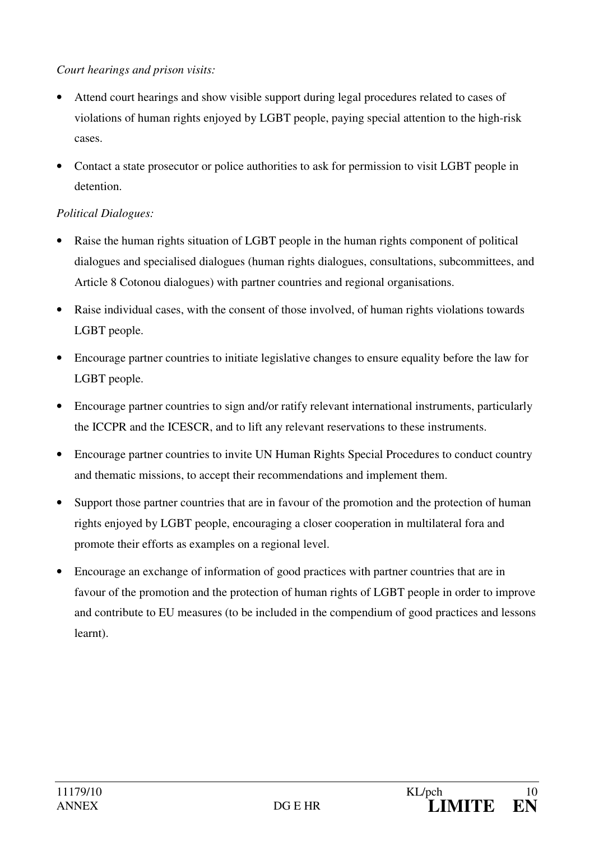#### *Court hearings and prison visits:*

- Attend court hearings and show visible support during legal procedures related to cases of violations of human rights enjoyed by LGBT people, paying special attention to the high-risk cases.
- Contact a state prosecutor or police authorities to ask for permission to visit LGBT people in detention.

# *Political Dialogues:*

- Raise the human rights situation of LGBT people in the human rights component of political dialogues and specialised dialogues (human rights dialogues, consultations, subcommittees, and Article 8 Cotonou dialogues) with partner countries and regional organisations.
- Raise individual cases, with the consent of those involved, of human rights violations towards LGBT people.
- Encourage partner countries to initiate legislative changes to ensure equality before the law for LGBT people.
- Encourage partner countries to sign and/or ratify relevant international instruments, particularly the ICCPR and the ICESCR, and to lift any relevant reservations to these instruments.
- Encourage partner countries to invite UN Human Rights Special Procedures to conduct country and thematic missions, to accept their recommendations and implement them.
- Support those partner countries that are in favour of the promotion and the protection of human rights enjoyed by LGBT people, encouraging a closer cooperation in multilateral fora and promote their efforts as examples on a regional level.
- Encourage an exchange of information of good practices with partner countries that are in favour of the promotion and the protection of human rights of LGBT people in order to improve and contribute to EU measures (to be included in the compendium of good practices and lessons learnt).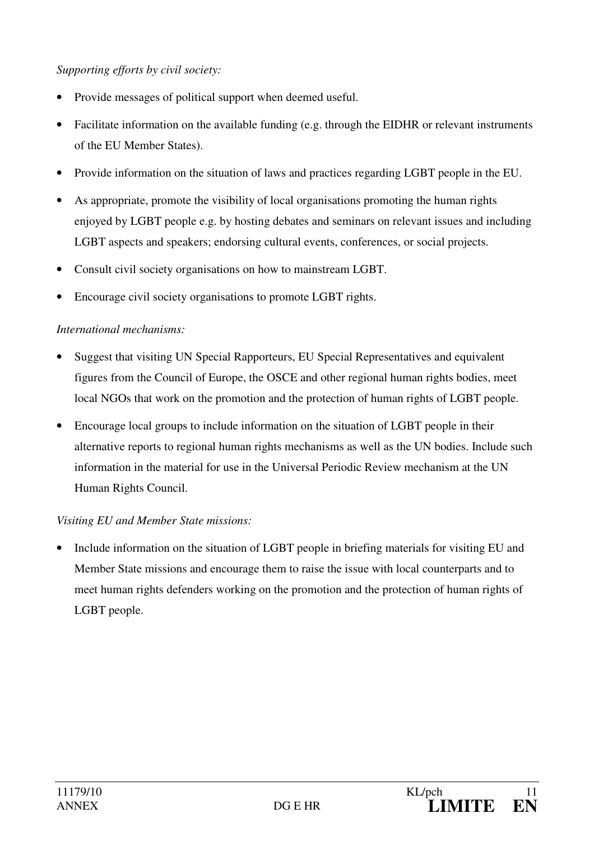### *Supporting efforts by civil society:*

- Provide messages of political support when deemed useful.
- Facilitate information on the available funding (e.g. through the EIDHR or relevant instruments of the EU Member States).
- Provide information on the situation of laws and practices regarding LGBT people in the EU.
- As appropriate, promote the visibility of local organisations promoting the human rights enjoyed by LGBT people e.g. by hosting debates and seminars on relevant issues and including LGBT aspects and speakers; endorsing cultural events, conferences, or social projects.
- Consult civil society organisations on how to mainstream LGBT.
- Encourage civil society organisations to promote LGBT rights.

#### *International mechanisms:*

- Suggest that visiting UN Special Rapporteurs, EU Special Representatives and equivalent figures from the Council of Europe, the OSCE and other regional human rights bodies, meet local NGOs that work on the promotion and the protection of human rights of LGBT people.
- Encourage local groups to include information on the situation of LGBT people in their alternative reports to regional human rights mechanisms as well as the UN bodies. Include such information in the material for use in the Universal Periodic Review mechanism at the UN Human Rights Council.

#### *Visiting EU and Member State missions:*

• Include information on the situation of LGBT people in briefing materials for visiting EU and Member State missions and encourage them to raise the issue with local counterparts and to meet human rights defenders working on the promotion and the protection of human rights of LGBT people.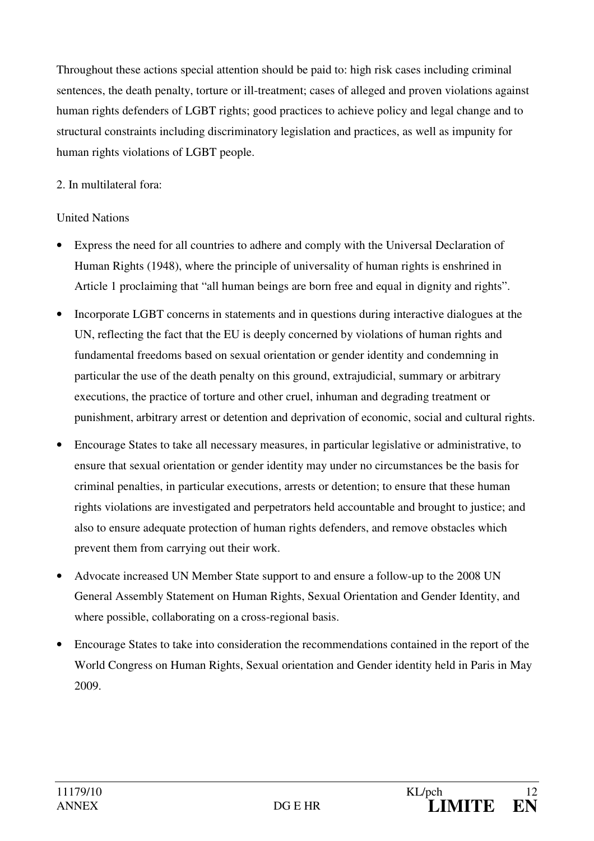Throughout these actions special attention should be paid to: high risk cases including criminal sentences, the death penalty, torture or ill-treatment; cases of alleged and proven violations against human rights defenders of LGBT rights; good practices to achieve policy and legal change and to structural constraints including discriminatory legislation and practices, as well as impunity for human rights violations of LGBT people.

#### 2. In multilateral fora:

### United Nations

- Express the need for all countries to adhere and comply with the Universal Declaration of Human Rights (1948), where the principle of universality of human rights is enshrined in Article 1 proclaiming that "all human beings are born free and equal in dignity and rights".
- Incorporate LGBT concerns in statements and in questions during interactive dialogues at the UN, reflecting the fact that the EU is deeply concerned by violations of human rights and fundamental freedoms based on sexual orientation or gender identity and condemning in particular the use of the death penalty on this ground, extrajudicial, summary or arbitrary executions, the practice of torture and other cruel, inhuman and degrading treatment or punishment, arbitrary arrest or detention and deprivation of economic, social and cultural rights.
- Encourage States to take all necessary measures, in particular legislative or administrative, to ensure that sexual orientation or gender identity may under no circumstances be the basis for criminal penalties, in particular executions, arrests or detention; to ensure that these human rights violations are investigated and perpetrators held accountable and brought to justice; and also to ensure adequate protection of human rights defenders, and remove obstacles which prevent them from carrying out their work.
- Advocate increased UN Member State support to and ensure a follow-up to the 2008 UN General Assembly Statement on Human Rights, Sexual Orientation and Gender Identity, and where possible, collaborating on a cross-regional basis.
- Encourage States to take into consideration the recommendations contained in the report of the World Congress on Human Rights, Sexual orientation and Gender identity held in Paris in May 2009.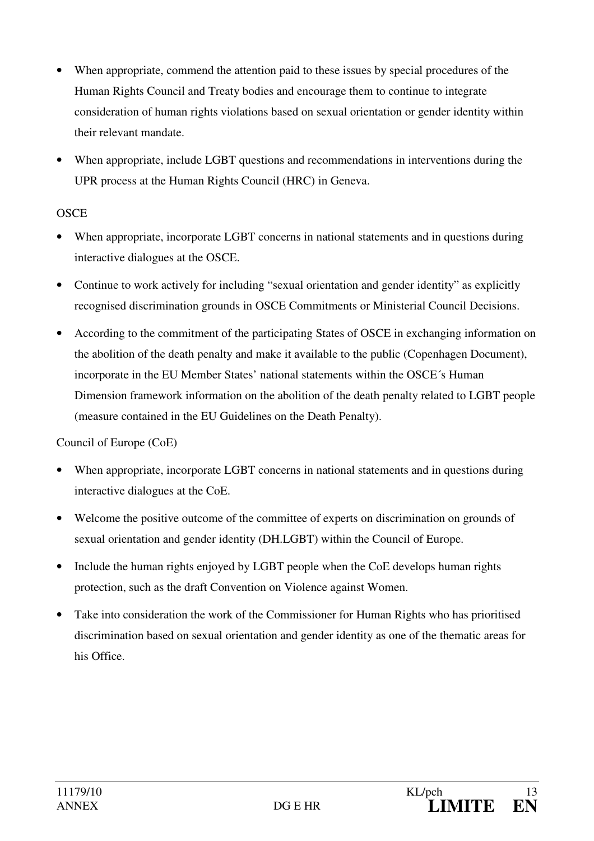- When appropriate, commend the attention paid to these issues by special procedures of the Human Rights Council and Treaty bodies and encourage them to continue to integrate consideration of human rights violations based on sexual orientation or gender identity within their relevant mandate.
- When appropriate, include LGBT questions and recommendations in interventions during the UPR process at the Human Rights Council (HRC) in Geneva.

#### **OSCE**

- When appropriate, incorporate LGBT concerns in national statements and in questions during interactive dialogues at the OSCE.
- Continue to work actively for including "sexual orientation and gender identity" as explicitly recognised discrimination grounds in OSCE Commitments or Ministerial Council Decisions.
- According to the commitment of the participating States of OSCE in exchanging information on the abolition of the death penalty and make it available to the public (Copenhagen Document), incorporate in the EU Member States' national statements within the OSCE´s Human Dimension framework information on the abolition of the death penalty related to LGBT people (measure contained in the EU Guidelines on the Death Penalty).

Council of Europe (CoE)

- When appropriate, incorporate LGBT concerns in national statements and in questions during interactive dialogues at the CoE.
- Welcome the positive outcome of the committee of experts on discrimination on grounds of sexual orientation and gender identity (DH.LGBT) within the Council of Europe.
- Include the human rights enjoyed by LGBT people when the CoE develops human rights protection, such as the draft Convention on Violence against Women.
- Take into consideration the work of the Commissioner for Human Rights who has prioritised discrimination based on sexual orientation and gender identity as one of the thematic areas for his Office.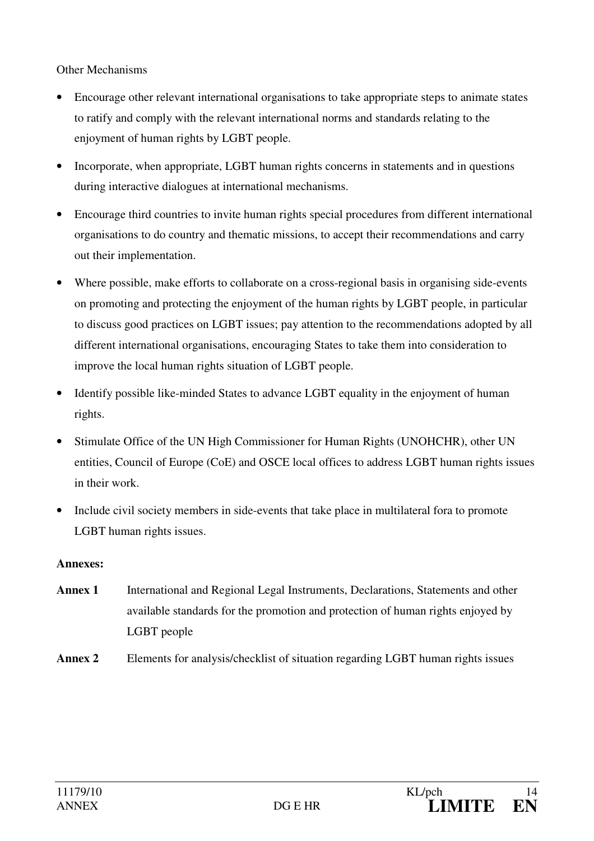Other Mechanisms

- Encourage other relevant international organisations to take appropriate steps to animate states to ratify and comply with the relevant international norms and standards relating to the enjoyment of human rights by LGBT people.
- Incorporate, when appropriate, LGBT human rights concerns in statements and in questions during interactive dialogues at international mechanisms.
- Encourage third countries to invite human rights special procedures from different international organisations to do country and thematic missions, to accept their recommendations and carry out their implementation.
- Where possible, make efforts to collaborate on a cross-regional basis in organising side-events on promoting and protecting the enjoyment of the human rights by LGBT people, in particular to discuss good practices on LGBT issues; pay attention to the recommendations adopted by all different international organisations, encouraging States to take them into consideration to improve the local human rights situation of LGBT people.
- Identify possible like-minded States to advance LGBT equality in the enjoyment of human rights.
- Stimulate Office of the UN High Commissioner for Human Rights (UNOHCHR), other UN entities, Council of Europe (CoE) and OSCE local offices to address LGBT human rights issues in their work.
- Include civil society members in side-events that take place in multilateral fora to promote LGBT human rights issues.

#### **Annexes:**

- **Annex 1** International and Regional Legal Instruments, Declarations, Statements and other available standards for the promotion and protection of human rights enjoyed by LGBT people
- **Annex 2** Elements for analysis/checklist of situation regarding LGBT human rights issues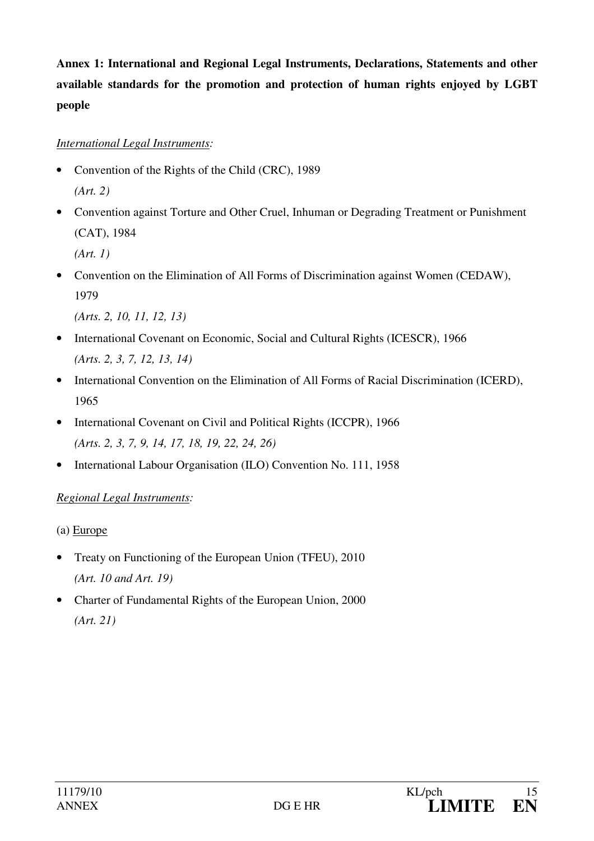**Annex 1: International and Regional Legal Instruments, Declarations, Statements and other available standards for the promotion and protection of human rights enjoyed by LGBT people** 

*International Legal Instruments:* 

- Convention of the Rights of the Child (CRC), 1989 *(Art. 2)*
- Convention against Torture and Other Cruel, Inhuman or Degrading Treatment or Punishment (CAT), 1984 *(Art. 1)*
- Convention on the Elimination of All Forms of Discrimination against Women (CEDAW), 1979
	- *(Arts. 2, 10, 11, 12, 13)*
- International Covenant on Economic, Social and Cultural Rights (ICESCR), 1966 *(Arts. 2, 3, 7, 12, 13, 14)*
- International Convention on the Elimination of All Forms of Racial Discrimination (ICERD), 1965
- International Covenant on Civil and Political Rights (ICCPR), 1966 *(Arts. 2, 3, 7, 9, 14, 17, 18, 19, 22, 24, 26)*
- International Labour Organisation (ILO) Convention No. 111, 1958

# *Regional Legal Instruments:*

#### (a) Europe

- Treaty on Functioning of the European Union (TFEU), 2010 *(Art. 10 and Art. 19)*
- Charter of Fundamental Rights of the European Union, 2000 *(Art. 21)*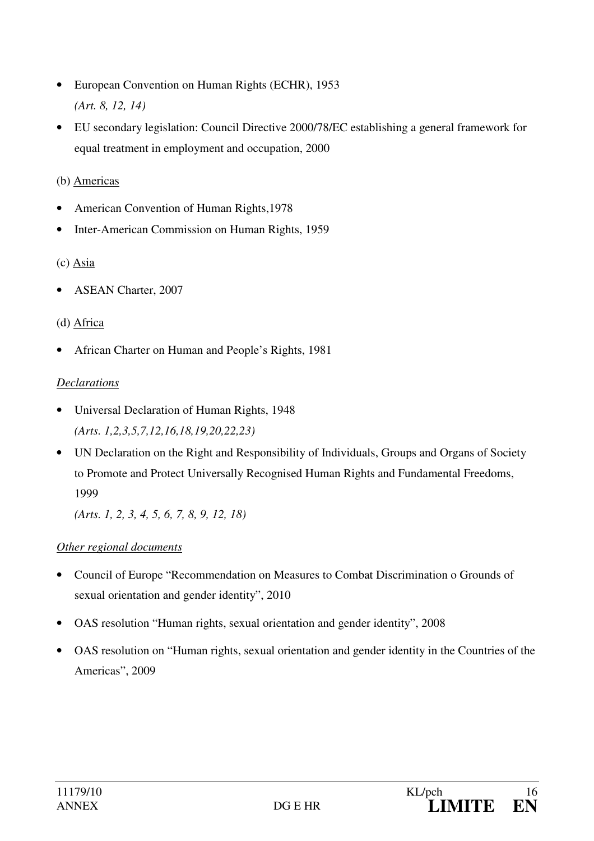- European Convention on Human Rights (ECHR), 1953 *(Art. 8, 12, 14)*
- EU secondary legislation: Council Directive 2000/78/EC establishing a general framework for equal treatment in employment and occupation, 2000

### (b) Americas

- American Convention of Human Rights,1978
- Inter-American Commission on Human Rights, 1959

#### (c) Asia

• ASEAN Charter, 2007

### (d) Africa

• African Charter on Human and People's Rights, 1981

# *Declarations*

- Universal Declaration of Human Rights, 1948 *(Arts. 1,2,3,5,7,12,16,18,19,20,22,23)*
- UN Declaration on the Right and Responsibility of Individuals, Groups and Organs of Society to Promote and Protect Universally Recognised Human Rights and Fundamental Freedoms, 1999

*(Arts. 1, 2, 3, 4, 5, 6, 7, 8, 9, 12, 18)* 

#### *Other regional documents*

- Council of Europe "Recommendation on Measures to Combat Discrimination o Grounds of sexual orientation and gender identity", 2010
- OAS resolution "Human rights, sexual orientation and gender identity", 2008
- OAS resolution on "Human rights, sexual orientation and gender identity in the Countries of the Americas", 2009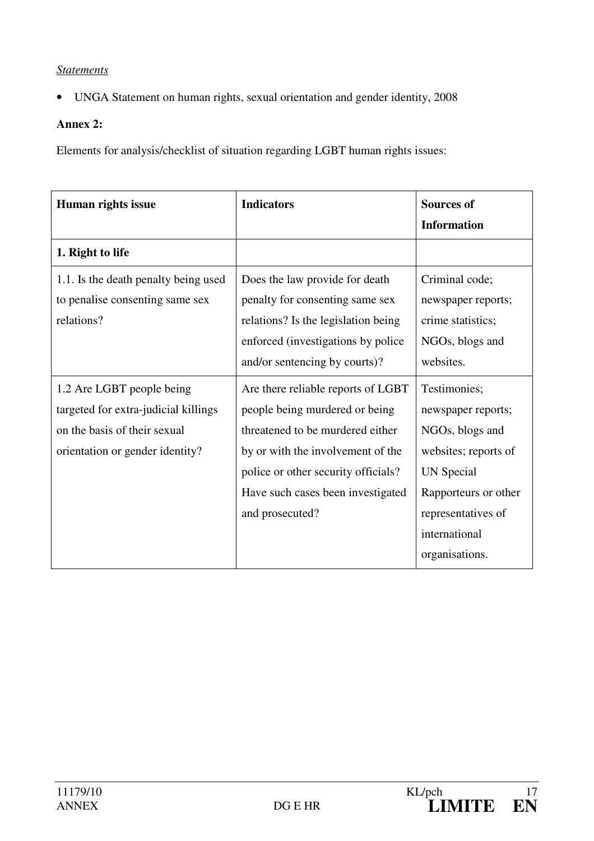### *Statements*

• UNGA Statement on human rights, sexual orientation and gender identity, 2008

#### **Annex 2:**

Elements for analysis/checklist of situation regarding LGBT human rights issues:

| <b>Human rights issue</b>                                                                                                            | <b>Indicators</b>                                                                                                                                                                                                                            | <b>Sources of</b>                                                                                                                                                                   |
|--------------------------------------------------------------------------------------------------------------------------------------|----------------------------------------------------------------------------------------------------------------------------------------------------------------------------------------------------------------------------------------------|-------------------------------------------------------------------------------------------------------------------------------------------------------------------------------------|
|                                                                                                                                      |                                                                                                                                                                                                                                              | <b>Information</b>                                                                                                                                                                  |
| 1. Right to life                                                                                                                     |                                                                                                                                                                                                                                              |                                                                                                                                                                                     |
| 1.1. Is the death penalty being used<br>to penalise consenting same sex<br>relations?                                                | Does the law provide for death<br>penalty for consenting same sex<br>relations? Is the legislation being<br>enforced (investigations by police)<br>and/or sentencing by courts)?                                                             | Criminal code;<br>newspaper reports;<br>crime statistics;<br>NGOs, blogs and<br>websites.                                                                                           |
| 1.2 Are LGBT people being<br>targeted for extra-judicial killings<br>on the basis of their sexual<br>orientation or gender identity? | Are there reliable reports of LGBT<br>people being murdered or being<br>threatened to be murdered either<br>by or with the involvement of the<br>police or other security officials?<br>Have such cases been investigated<br>and prosecuted? | Testimonies;<br>newspaper reports;<br>NGOs, blogs and<br>websites; reports of<br><b>UN</b> Special<br>Rapporteurs or other<br>representatives of<br>international<br>organisations. |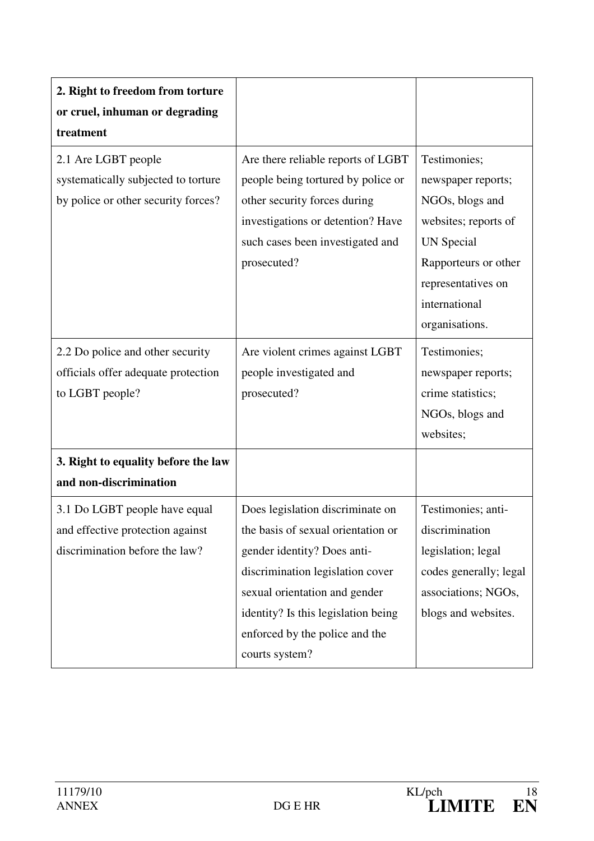| 2. Right to freedom from torture<br>or cruel, inhuman or degrading<br>treatment                     |                                                                                                                                                                                                                                                                       |                                                                                                                                                                                     |
|-----------------------------------------------------------------------------------------------------|-----------------------------------------------------------------------------------------------------------------------------------------------------------------------------------------------------------------------------------------------------------------------|-------------------------------------------------------------------------------------------------------------------------------------------------------------------------------------|
| 2.1 Are LGBT people<br>systematically subjected to torture<br>by police or other security forces?   | Are there reliable reports of LGBT<br>people being tortured by police or<br>other security forces during<br>investigations or detention? Have<br>such cases been investigated and<br>prosecuted?                                                                      | Testimonies;<br>newspaper reports;<br>NGOs, blogs and<br>websites; reports of<br><b>UN</b> Special<br>Rapporteurs or other<br>representatives on<br>international<br>organisations. |
| 2.2 Do police and other security<br>officials offer adequate protection<br>to LGBT people?          | Are violent crimes against LGBT<br>people investigated and<br>prosecuted?                                                                                                                                                                                             | Testimonies;<br>newspaper reports;<br>crime statistics;<br>NGOs, blogs and<br>websites;                                                                                             |
| 3. Right to equality before the law<br>and non-discrimination                                       |                                                                                                                                                                                                                                                                       |                                                                                                                                                                                     |
| 3.1 Do LGBT people have equal<br>and effective protection against<br>discrimination before the law? | Does legislation discriminate on<br>the basis of sexual orientation or<br>gender identity? Does anti-<br>discrimination legislation cover<br>sexual orientation and gender<br>identity? Is this legislation being<br>enforced by the police and the<br>courts system? | Testimonies; anti-<br>discrimination<br>legislation; legal<br>codes generally; legal<br>associations; NGOs,<br>blogs and websites.                                                  |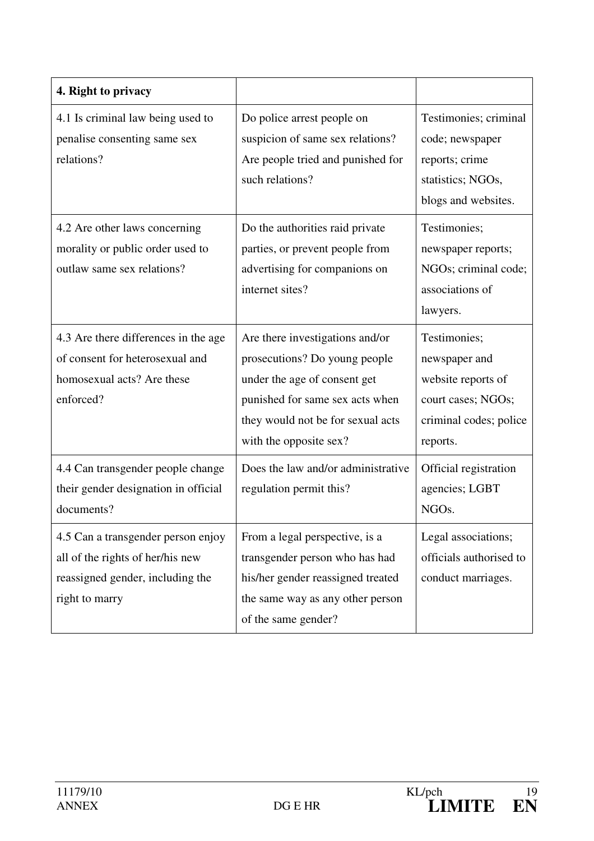| 4. Right to privacy                                                                                                          |                                                                                                                                                                                                    |                                                                                                                 |
|------------------------------------------------------------------------------------------------------------------------------|----------------------------------------------------------------------------------------------------------------------------------------------------------------------------------------------------|-----------------------------------------------------------------------------------------------------------------|
| 4.1 Is criminal law being used to<br>penalise consenting same sex<br>relations?                                              | Do police arrest people on<br>suspicion of same sex relations?<br>Are people tried and punished for<br>such relations?                                                                             | Testimonies; criminal<br>code; newspaper<br>reports; crime<br>statistics; NGOs,<br>blogs and websites.          |
| 4.2 Are other laws concerning<br>morality or public order used to<br>outlaw same sex relations?                              | Do the authorities raid private<br>parties, or prevent people from<br>advertising for companions on<br>internet sites?                                                                             | Testimonies;<br>newspaper reports;<br>NGOs; criminal code;<br>associations of<br>lawyers.                       |
| 4.3 Are there differences in the age<br>of consent for heterosexual and<br>homosexual acts? Are these<br>enforced?           | Are there investigations and/or<br>prosecutions? Do young people<br>under the age of consent get<br>punished for same sex acts when<br>they would not be for sexual acts<br>with the opposite sex? | Testimonies;<br>newspaper and<br>website reports of<br>court cases; NGOs;<br>criminal codes; police<br>reports. |
| 4.4 Can transgender people change<br>their gender designation in official<br>documents?                                      | Does the law and/or administrative<br>regulation permit this?                                                                                                                                      | Official registration<br>agencies; LGBT<br>NGO <sub>s</sub> .                                                   |
| 4.5 Can a transgender person enjoy<br>all of the rights of her/his new<br>reassigned gender, including the<br>right to marry | From a legal perspective, is a<br>transgender person who has had<br>his/her gender reassigned treated<br>the same way as any other person<br>of the same gender?                                   | Legal associations;<br>officials authorised to<br>conduct marriages.                                            |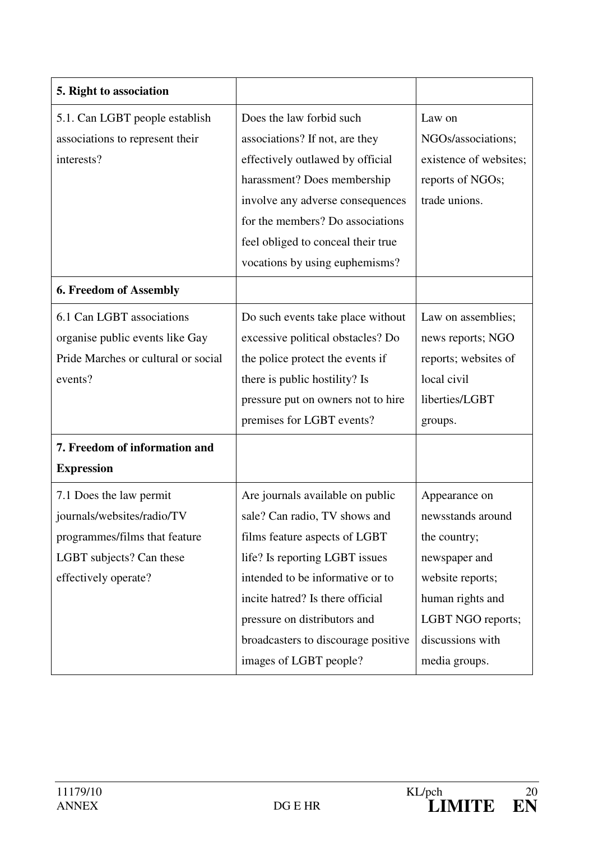| 5. Right to association             |                                     |                        |
|-------------------------------------|-------------------------------------|------------------------|
| 5.1. Can LGBT people establish      | Does the law forbid such            | Law on                 |
| associations to represent their     | associations? If not, are they      | NGOs/associations;     |
| interests?                          | effectively outlawed by official    | existence of websites; |
|                                     | harassment? Does membership         | reports of NGOs;       |
|                                     | involve any adverse consequences    | trade unions.          |
|                                     | for the members? Do associations    |                        |
|                                     | feel obliged to conceal their true  |                        |
|                                     | vocations by using euphemisms?      |                        |
| 6. Freedom of Assembly              |                                     |                        |
| 6.1 Can LGBT associations           | Do such events take place without   | Law on assemblies;     |
| organise public events like Gay     | excessive political obstacles? Do   | news reports; NGO      |
| Pride Marches or cultural or social | the police protect the events if    | reports; websites of   |
| events?                             | there is public hostility? Is       | local civil            |
|                                     | pressure put on owners not to hire  | liberties/LGBT         |
|                                     | premises for LGBT events?           | groups.                |
| 7. Freedom of information and       |                                     |                        |
| <b>Expression</b>                   |                                     |                        |
| 7.1 Does the law permit             | Are journals available on public    | Appearance on          |
| journals/websites/radio/TV          | sale? Can radio, TV shows and       | newsstands around      |
| programmes/films that feature       | films feature aspects of LGBT       | the country;           |
| LGBT subjects? Can these            | life? Is reporting LGBT issues      | newspaper and          |
| effectively operate?                | intended to be informative or to    | website reports;       |
|                                     | incite hatred? Is there official    | human rights and       |
|                                     | pressure on distributors and        | LGBT NGO reports;      |
|                                     | broadcasters to discourage positive | discussions with       |
|                                     | images of LGBT people?              | media groups.          |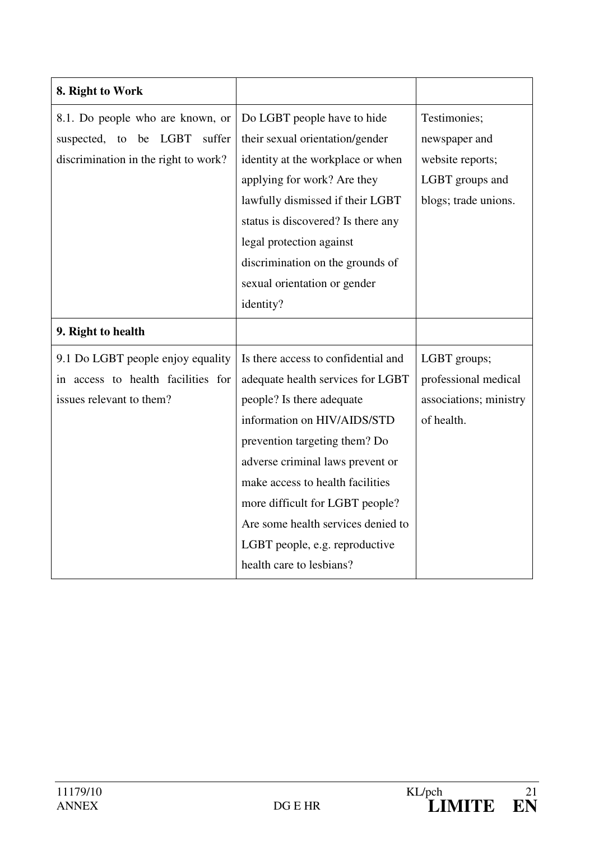| 8. Right to Work                     |                                     |                        |
|--------------------------------------|-------------------------------------|------------------------|
| 8.1. Do people who are known, or     | Do LGBT people have to hide         | Testimonies;           |
| suspected, to<br>be LGBT<br>suffer   | their sexual orientation/gender     | newspaper and          |
| discrimination in the right to work? | identity at the workplace or when   | website reports;       |
|                                      | applying for work? Are they         | LGBT groups and        |
|                                      | lawfully dismissed if their LGBT    | blogs; trade unions.   |
|                                      | status is discovered? Is there any  |                        |
|                                      | legal protection against            |                        |
|                                      | discrimination on the grounds of    |                        |
|                                      | sexual orientation or gender        |                        |
|                                      | identity?                           |                        |
| 9. Right to health                   |                                     |                        |
| 9.1 Do LGBT people enjoy equality    | Is there access to confidential and | LGBT groups;           |
| in access to health facilities for   | adequate health services for LGBT   | professional medical   |
| issues relevant to them?             | people? Is there adequate           | associations; ministry |
|                                      | information on HIV/AIDS/STD         | of health.             |
|                                      | prevention targeting them? Do       |                        |
|                                      | adverse criminal laws prevent or    |                        |
|                                      | make access to health facilities    |                        |
|                                      | more difficult for LGBT people?     |                        |
|                                      | Are some health services denied to  |                        |
|                                      | LGBT people, e.g. reproductive      |                        |
|                                      | health care to lesbians?            |                        |